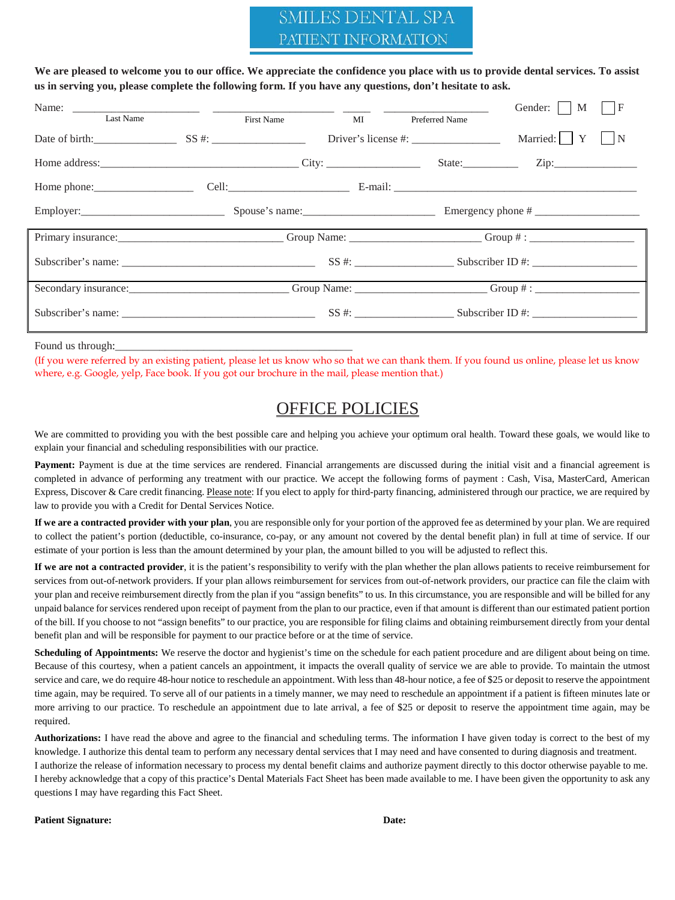# SMILES DENTAL SPA PATIENT INFORMATION

**We are pleased to welcome you to our office. We appreciate the confidence you place with us to provide dental services. To assist us in serving you, please complete the following form. If you have any questions, don't hesitate to ask.** 

|                                          |            |    |                | Gender:     M<br>$\vert F \vert$                             |
|------------------------------------------|------------|----|----------------|--------------------------------------------------------------|
| Last Name                                | First Name | MI | Preferred Name |                                                              |
| Date of birth: $SS \#$ :                 |            |    |                | Married: Y<br>N                                              |
|                                          |            |    |                | State: $\qquad \qquad \text{Zip:} \qquad \qquad \text{Lip:}$ |
| Home phone: $\qquad \qquad \text{Cell:}$ |            |    |                |                                                              |
|                                          |            |    |                |                                                              |
|                                          |            |    |                |                                                              |
|                                          |            |    |                | $SS #:$ Subscriber ID #:                                     |
|                                          |            |    |                |                                                              |
|                                          |            |    |                | $SS #:$ Subscriber ID #:                                     |

Found us through:

(If you were referred by an existing patient, please let us know who so that we can thank them. If you found us online, please let us know where, e.g. Google, yelp, Face book. If you got our brochure in the mail, please mention that.)

# OFFICE POLICIES

We are committed to providing you with the best possible care and helping you achieve your optimum oral health. Toward these goals, we would like to explain your financial and scheduling responsibilities with our practice.

Payment: Payment is due at the time services are rendered. Financial arrangements are discussed during the initial visit and a financial agreement is completed in advance of performing any treatment with our practice. We accept the following forms of payment : Cash, Visa, MasterCard, American Express, Discover & Care credit financing. Please note: If you elect to apply for third-party financing, administered through our practice, we are required by law to provide you with a Credit for Dental Services Notice.

**If we are a contracted provider with your plan**, you are responsible only for your portion of the approved fee as determined by your plan. We are required to collect the patient's portion (deductible, co-insurance, co-pay, or any amount not covered by the dental benefit plan) in full at time of service. If our estimate of your portion is less than the amount determined by your plan, the amount billed to you will be adjusted to reflect this.

**If we are not a contracted provider**, it is the patient's responsibility to verify with the plan whether the plan allows patients to receive reimbursement for services from out-of-network providers. If your plan allows reimbursement for services from out-of-network providers, our practice can file the claim with your plan and receive reimbursement directly from the plan if you "assign benefits" to us. In this circumstance, you are responsible and will be billed for any unpaid balance for services rendered upon receipt of payment from the plan to our practice, even if that amount is different than our estimated patient portion of the bill. If you choose to not "assign benefits" to our practice, you are responsible for filing claims and obtaining reimbursement directly from your dental benefit plan and will be responsible for payment to our practice before or at the time of service.

**Scheduling of Appointments:** We reserve the doctor and hygienist's time on the schedule for each patient procedure and are diligent about being on time. Because of this courtesy, when a patient cancels an appointment, it impacts the overall quality of service we are able to provide. To maintain the utmost service and care, we do require 48-hour notice to reschedule an appointment. With less than 48-hour notice, a fee of \$25 or deposit to reserve the appointment time again, may be required. To serve all of our patients in a timely manner, we may need to reschedule an appointment if a patient is fifteen minutes late or more arriving to our practice. To reschedule an appointment due to late arrival, a fee of \$25 or deposit to reserve the appointment time again, may be required.

**Authorizations:** I have read the above and agree to the financial and scheduling terms. The information I have given today is correct to the best of my knowledge. I authorize this dental team to perform any necessary dental services that I may need and have consented to during diagnosis and treatment. I authorize the release of information necessary to process my dental benefit claims and authorize payment directly to this doctor otherwise payable to me. I hereby acknowledge that a copy of this practice's Dental Materials Fact Sheet has been made available to me. I have been given the opportunity to ask any questions I may have regarding this Fact Sheet.

Patient Signature: **Date: Date: Date: Date: Date: Date: Date: Date: Date: Date: Date: Date: Date: Date: Date: Date: Date: Date: Date: Date: Date: Date: Date: Date: Date: Da**